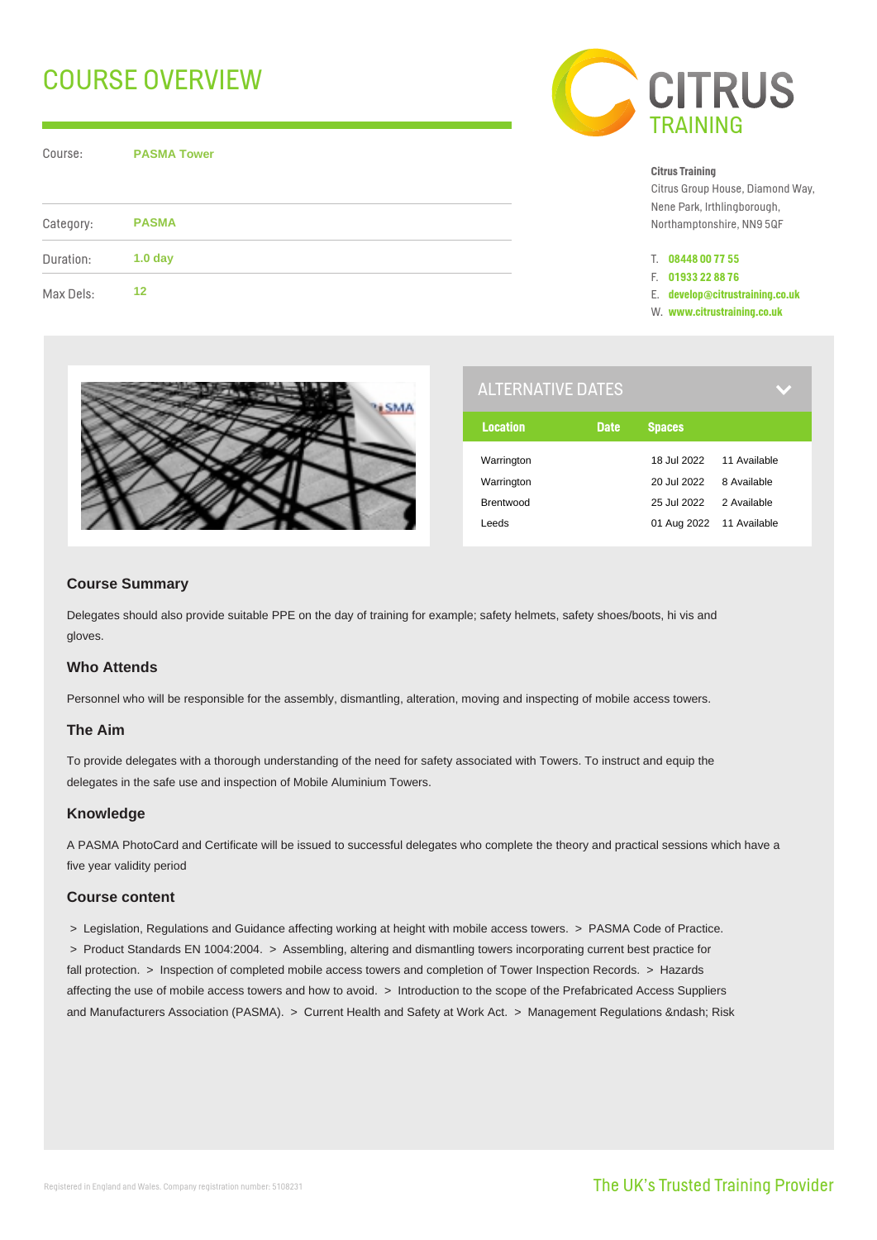# COURSE OVERVIEW

Course: **PASMA Tower**

| Category: | <b>PASMA</b>       |  |
|-----------|--------------------|--|
| Duration: | 1.0 <sub>day</sub> |  |
| Max Dels: | 12                 |  |



#### **Citrus Training**

Citrus Group House, Diamond Way, Nene Park, Irthlingborough, Northamptonshire, NN9 5QF

- T. **08448 00 77 55**
- F. **01933 22 88 76**
- E. **develop@citrustraining.co.uk**
- W. **www.citrustraining.co.uk**



| <b>ALTERNATIVE DATES</b> |             |                          |              |
|--------------------------|-------------|--------------------------|--------------|
| <b>Location</b>          | <b>Date</b> | <b>Spaces</b>            |              |
| Warrington               |             | 18.Jul 2022              | 11 Available |
| Warrington               |             | 20 Jul 2022              | 8 Available  |
| Brentwood                |             | 25 Jul 2022              | 2 Available  |
| Leeds                    |             | 01 Aug 2022 11 Available |              |

# **Course Summary**

Delegates should also provide suitable PPE on the day of training for example; safety helmets, safety shoes/boots, hi vis and gloves.

# **Who Attends**

Personnel who will be responsible for the assembly, dismantling, alteration, moving and inspecting of mobile access towers.

### **The Aim**

To provide delegates with a thorough understanding of the need for safety associated with Towers. To instruct and equip the delegates in the safe use and inspection of Mobile Aluminium Towers.

### **Knowledge**

A PASMA PhotoCard and Certificate will be issued to successful delegates who complete the theory and practical sessions which have a five year validity period

### **Course content**

> Legislation, Regulations and Guidance affecting working at height with mobile access towers. > PASMA Code of Practice.

 > Product Standards EN 1004:2004. > Assembling, altering and dismantling towers incorporating current best practice for fall protection. > Inspection of completed mobile access towers and completion of Tower Inspection Records. > Hazards affecting the use of mobile access towers and how to avoid. > Introduction to the scope of the Prefabricated Access Suppliers and Manufacturers Association (PASMA). > Current Health and Safety at Work Act. > Management Regulations – Risk